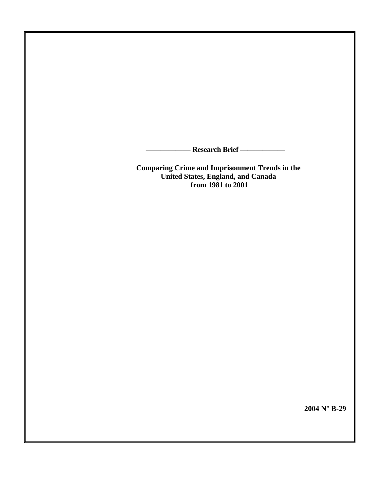**—————— Research Brief ——————** 

**Comparing Crime and Imprisonment Trends in the United States, England, and Canada from 1981 to 2001**

**2004 N**° **B-29**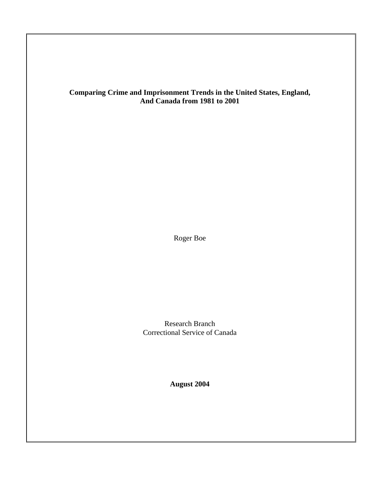# **Comparing Crime and Imprisonment Trends in the United States, England, And Canada from 1981 to 2001**

Roger Boe

Research Branch Correctional Service of Canada

**August 2004**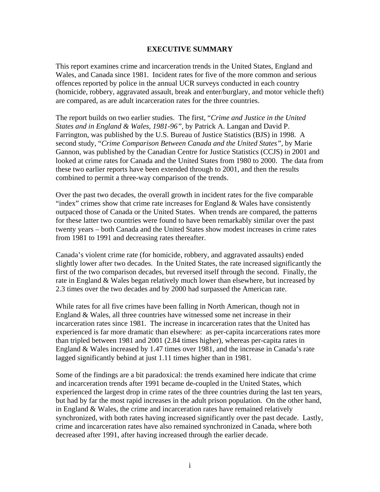# **EXECUTIVE SUMMARY**

This report examines crime and incarceration trends in the United States, England and Wales, and Canada since 1981. Incident rates for five of the more common and serious offences reported by police in the annual UCR surveys conducted in each country (homicide, robbery, aggravated assault, break and enter/burglary, and motor vehicle theft) are compared, as are adult incarceration rates for the three countries.

The report builds on two earlier studies. The first, "*Crime and Justice in the United States and in England & Wales, 1981-96"*, by Patrick A. Langan and David P. Farrington, was published by the U.S. Bureau of Justice Statistics (BJS) in 1998. A second study, "*Crime Comparison Between Canada and the United States",* by Marie Gannon, was published by the Canadian Centre for Justice Statistics (CCJS) in 2001 and looked at crime rates for Canada and the United States from 1980 to 2000. The data from these two earlier reports have been extended through to 2001, and then the results combined to permit a three-way comparison of the trends.

Over the past two decades, the overall growth in incident rates for the five comparable "index" crimes show that crime rate increases for England  $\&$  Wales have consistently outpaced those of Canada or the United States. When trends are compared, the patterns for these latter two countries were found to have been remarkably similar over the past twenty years – both Canada and the United States show modest increases in crime rates from 1981 to 1991 and decreasing rates thereafter.

Canada's violent crime rate (for homicide, robbery, and aggravated assaults) ended slightly lower after two decades. In the United States, the rate increased significantly the first of the two comparison decades, but reversed itself through the second. Finally, the rate in England & Wales began relatively much lower than elsewhere, but increased by 2.3 times over the two decades and by 2000 had surpassed the American rate.

While rates for all five crimes have been falling in North American, though not in England & Wales, all three countries have witnessed some net increase in their incarceration rates since 1981. The increase in incarceration rates that the United has experienced is far more dramatic than elsewhere: as per-capita incarcerations rates more than tripled between 1981 and 2001 (2.84 times higher), whereas per-capita rates in England & Wales increased by 1.47 times over 1981, and the increase in Canada's rate lagged significantly behind at just 1.11 times higher than in 1981.

Some of the findings are a bit paradoxical: the trends examined here indicate that crime and incarceration trends after 1991 became de-coupled in the United States, which experienced the largest drop in crime rates of the three countries during the last ten years, but had by far the most rapid increases in the adult prison population. On the other hand, in England & Wales, the crime and incarceration rates have remained relatively synchronized, with both rates having increased significantly over the past decade. Lastly, crime and incarceration rates have also remained synchronized in Canada, where both decreased after 1991, after having increased through the earlier decade.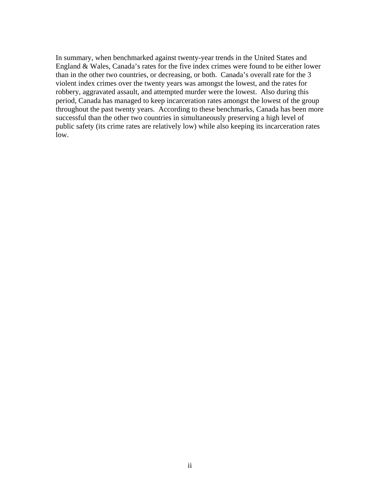In summary, when benchmarked against twenty-year trends in the United States and England & Wales, Canada's rates for the five index crimes were found to be either lower than in the other two countries, or decreasing, or both. Canada's overall rate for the 3 violent index crimes over the twenty years was amongst the lowest, and the rates for robbery, aggravated assault, and attempted murder were the lowest. Also during this period, Canada has managed to keep incarceration rates amongst the lowest of the group throughout the past twenty years. According to these benchmarks, Canada has been more successful than the other two countries in simultaneously preserving a high level of public safety (its crime rates are relatively low) while also keeping its incarceration rates low.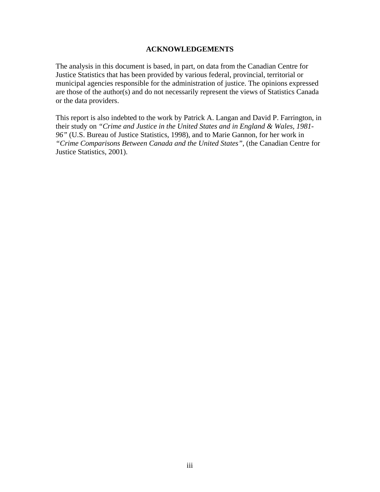### **ACKNOWLEDGEMENTS**

The analysis in this document is based, in part, on data from the Canadian Centre for Justice Statistics that has been provided by various federal, provincial, territorial or municipal agencies responsible for the administration of justice. The opinions expressed are those of the author(s) and do not necessarily represent the views of Statistics Canada or the data providers.

This report is also indebted to the work by Patrick A. Langan and David P. Farrington, in their study on *"Crime and Justice in the United States and in England & Wales, 1981- 96"* (U.S. Bureau of Justice Statistics, 1998), and to Marie Gannon, for her work in *"Crime Comparisons Between Canada and the United States"*, (the Canadian Centre for Justice Statistics, 2001).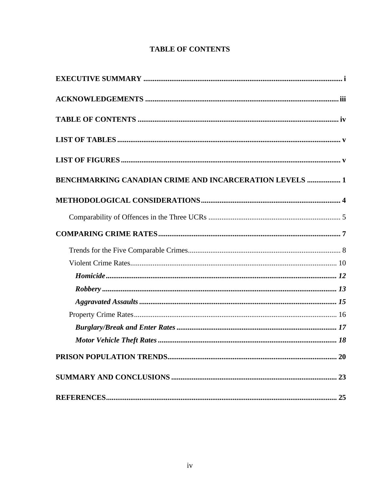# **TABLE OF CONTENTS**

<span id="page-5-0"></span>

| <b>BENCHMARKING CANADIAN CRIME AND INCARCERATION LEVELS  1</b> |  |
|----------------------------------------------------------------|--|
|                                                                |  |
|                                                                |  |
|                                                                |  |
|                                                                |  |
|                                                                |  |
|                                                                |  |
|                                                                |  |
|                                                                |  |
|                                                                |  |
|                                                                |  |
|                                                                |  |
|                                                                |  |
|                                                                |  |
|                                                                |  |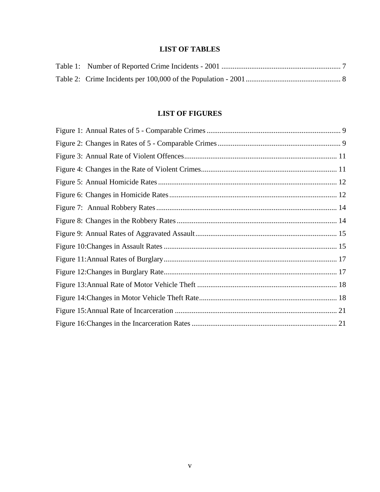# **LIST OF TABLES**

# **LIST OF FIGURES**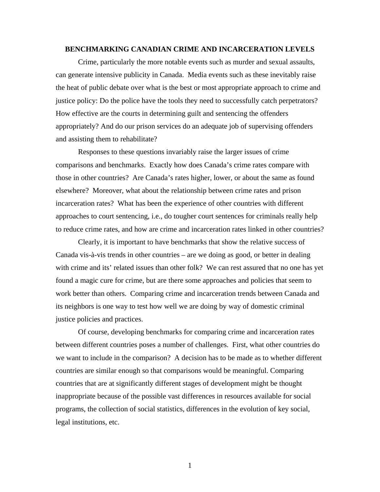#### **BENCHMARKING CANADIAN CRIME AND INCARCERATION LEVELS**

Crime, particularly the more notable events such as murder and sexual assaults, can generate intensive publicity in Canada. Media events such as these inevitably raise the heat of public debate over what is the best or most appropriate approach to crime and justice policy: Do the police have the tools they need to successfully catch perpetrators? How effective are the courts in determining guilt and sentencing the offenders appropriately? And do our prison services do an adequate job of supervising offenders and assisting them to rehabilitate?

Responses to these questions invariably raise the larger issues of crime comparisons and benchmarks. Exactly how does Canada's crime rates compare with those in other countries? Are Canada's rates higher, lower, or about the same as found elsewhere? Moreover, what about the relationship between crime rates and prison incarceration rates? What has been the experience of other countries with different approaches to court sentencing, i.e., do tougher court sentences for criminals really help to reduce crime rates, and how are crime and incarceration rates linked in other countries?

Clearly, it is important to have benchmarks that show the relative success of Canada vis-à-vis trends in other countries – are we doing as good, or better in dealing with crime and its' related issues than other folk? We can rest assured that no one has yet found a magic cure for crime, but are there some approaches and policies that seem to work better than others. Comparing crime and incarceration trends between Canada and its neighbors is one way to test how well we are doing by way of domestic criminal justice policies and practices.

Of course, developing benchmarks for comparing crime and incarceration rates between different countries poses a number of challenges. First, what other countries do we want to include in the comparison? A decision has to be made as to whether different countries are similar enough so that comparisons would be meaningful. Comparing countries that are at significantly different stages of development might be thought inappropriate because of the possible vast differences in resources available for social programs, the collection of social statistics, differences in the evolution of key social, legal institutions, etc.

1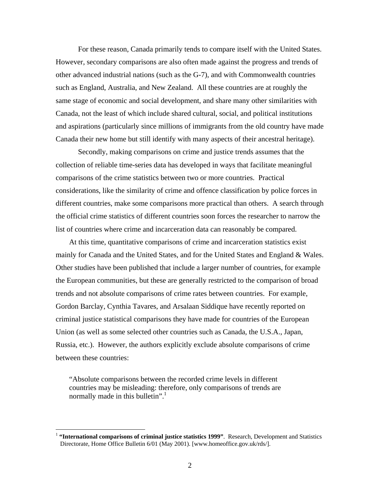For these reason, Canada primarily tends to compare itself with the United States. However, secondary comparisons are also often made against the progress and trends of other advanced industrial nations (such as the G-7), and with Commonwealth countries such as England, Australia, and New Zealand. All these countries are at roughly the same stage of economic and social development, and share many other similarities with Canada, not the least of which include shared cultural, social, and political institutions and aspirations (particularly since millions of immigrants from the old country have made Canada their new home but still identify with many aspects of their ancestral heritage).

Secondly, making comparisons on crime and justice trends assumes that the collection of reliable time-series data has developed in ways that facilitate meaningful comparisons of the crime statistics between two or more countries. Practical considerations, like the similarity of crime and offence classification by police forces in different countries, make some comparisons more practical than others. A search through the official crime statistics of different countries soon forces the researcher to narrow the list of countries where crime and incarceration data can reasonably be compared.

At this time, quantitative comparisons of crime and incarceration statistics exist mainly for Canada and the United States, and for the United States and England & Wales. Other studies have been published that include a larger number of countries, for example the European communities, but these are generally restricted to the comparison of broad trends and not absolute comparisons of crime rates between countries. For example, Gordon Barclay, Cynthia Tavares, and Arsalaan Siddique have recently reported on criminal justice statistical comparisons they have made for countries of the European Union (as well as some selected other countries such as Canada, the U.S.A., Japan, Russia, etc.). However, the authors explicitly exclude absolute comparisons of crime between these countries:

"Absolute comparisons between the recorded crime levels in different countries may be misleading: therefore, only comparisons of trends are normally made in this bulletin".

<span id="page-8-0"></span><sup>&</sup>lt;sup>1</sup> "International comparisons of criminal justice statistics 1999". Research, Development and Statistics Directorate, Home Office Bulletin 6/01 (May 2001). [www.homeoffice.gov.uk/rds/].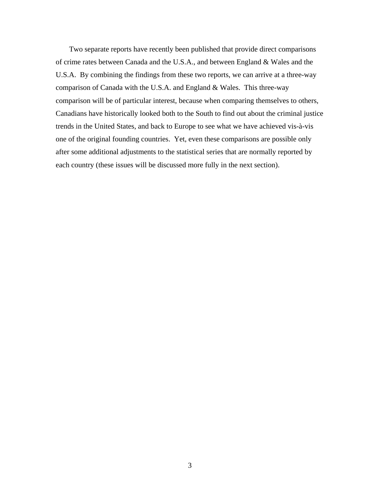Two separate reports have recently been published that provide direct comparisons of crime rates between Canada and the U.S.A., and between England & Wales and the U.S.A. By combining the findings from these two reports, we can arrive at a three-way comparison of Canada with the U.S.A. and England & Wales. This three-way comparison will be of particular interest, because when comparing themselves to others, Canadians have historically looked both to the South to find out about the criminal justice trends in the United States, and back to Europe to see what we have achieved vis-à-vis one of the original founding countries. Yet, even these comparisons are possible only after some additional adjustments to the statistical series that are normally reported by each country (these issues will be discussed more fully in the next section).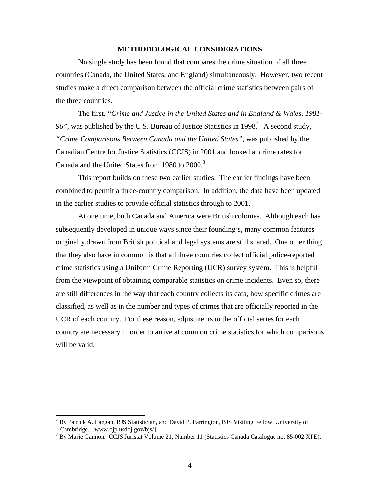#### **METHODOLOGICAL CONSIDERATIONS**

No single study has been found that compares the crime situation of all three countries (Canada, the United States, and England) simultaneously. However, two recent studies make a direct comparison between the official crime statistics between pairs of the three countries.

The first, *"Crime and Justice in the United States and in England & Wales, 1981* 96",was published by the U.S. Bureau of Justice Statistics in  $1998<sup>2</sup>$ . A second study, *"Crime Comparisons Between Canada and the United States"*, was published by the Canadian Centre for Justice Statistics (CCJS) in 2001 and looked at crime rates for Canada and the United States from 1980 to 2000.<sup>[3](#page-10-1)</sup>

This report builds on these two earlier studies. The earlier findings have been combined to permit a three-country comparison. In addition, the data have been updated in the earlier studies to provide official statistics through to 2001.

At one time, both Canada and America were British colonies. Although each has subsequently developed in unique ways since their founding's, many common features originally drawn from British political and legal systems are still shared. One other thing that they also have in common is that all three countries collect official police-reported crime statistics using a Uniform Crime Reporting (UCR) survey system. This is helpful from the viewpoint of obtaining comparable statistics on crime incidents. Even so, there are still differences in the way that each country collects its data, how specific crimes are classified, as well as in the number and types of crimes that are officially reported in the UCR of each country. For these reason, adjustments to the official series for each country are necessary in order to arrive at common crime statistics for which comparisons will be valid.

<span id="page-10-0"></span> $\frac{1}{2}$  $<sup>2</sup>$  By Patrick A. Langan, BJS Statistician, and David P. Farrington, BJS Visiting Fellow, University of</sup> Cambridge. [www.ojp.usdoj.gov/bjs/].

<span id="page-10-1"></span> $3$  By Marie Gannon. CCJS Juristat Volume 21, Number 11 (Statistics Canada Catalogue no. 85-002 XPE).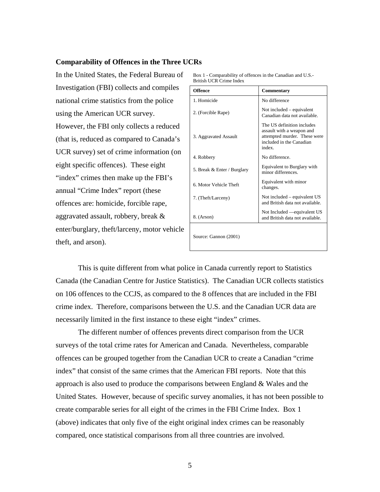#### **Comparability of Offences in the Three UCRs**

In the United States, the Federal Bureau of Investigation (FBI) collects and compiles national crime statistics from the police using the American UCR survey. However, the FBI only collects a reduced (that is, reduced as compared to Canada's UCR survey) set of crime information (on eight specific offences). These eight "index" crimes then make up the FBI's annual "Crime Index" report (these offences are: homicide, forcible rape, aggravated assault, robbery, break & enter/burglary, theft/larceny, motor vehicle theft, and arson).

| Box 1 - Comparability of offences in the Canadian and U.S.- |  |
|-------------------------------------------------------------|--|
| British UCR Crime Index                                     |  |

| Offence                     | Commentary                                                                                                                    |
|-----------------------------|-------------------------------------------------------------------------------------------------------------------------------|
| 1. Homicide                 | No difference                                                                                                                 |
| 2. (Forcible Rape)          | Not included – equivalent<br>Canadian data not available.                                                                     |
| 3. Aggravated Assault       | The US definition includes<br>assault with a weapon and<br>attempted murder. These were<br>included in the Canadian<br>index. |
| 4. Robbery                  | No difference.                                                                                                                |
| 5. Break & Enter / Burglary | Equivalent to Burglary with<br>minor differences.                                                                             |
| 6. Motor Vehicle Theft      | Equivalent with minor<br>changes.                                                                                             |
| 7. (Theft/Larceny)          | Not included – equivalent US<br>and British data not available.                                                               |
| 8. (Arson)                  | Not Included — equivalent US<br>and British data not available.                                                               |
| Source: Gannon (2001)       |                                                                                                                               |

This is quite different from what police in Canada currently report to Statistics Canada (the Canadian Centre for Justice Statistics). The Canadian UCR collects statistics on 106 offences to the CCJS, as compared to the 8 offences that are included in the FBI crime index. Therefore, comparisons between the U.S. and the Canadian UCR data are necessarily limited in the first instance to these eight "index" crimes.

The different number of offences prevents direct comparison from the UCR surveys of the total crime rates for American and Canada. Nevertheless, comparable offences can be grouped together from the Canadian UCR to create a Canadian "crime index" that consist of the same crimes that the American FBI reports. Note that this approach is also used to produce the comparisons between England  $\&$  Wales and the United States. However, because of specific survey anomalies, it has not been possible to create comparable series for all eight of the crimes in the FBI Crime Index. Box 1 (above) indicates that only five of the eight original index crimes can be reasonably compared, once statistical comparisons from all three countries are involved.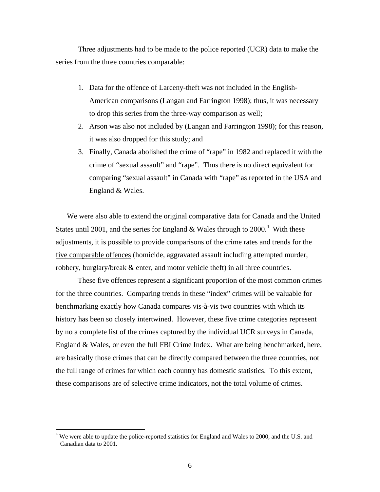Three adjustments had to be made to the police reported (UCR) data to make the series from the three countries comparable:

- 1. Data for the offence of Larceny-theft was not included in the English-American comparisons (Langan and Farrington 1998); thus, it was necessary to drop this series from the three-way comparison as well;
- 2. Arson was also not included by (Langan and Farrington 1998); for this reason, it was also dropped for this study; and
- 3. Finally, Canada abolished the crime of "rape" in 1982 and replaced it with the crime of "sexual assault" and "rape". Thus there is no direct equivalent for comparing "sexual assault" in Canada with "rape" as reported in the USA and England & Wales.

We were also able to extend the original comparative data for Canada and the United States until 2001, and the series for England & Wales through to  $2000.<sup>4</sup>$  $2000.<sup>4</sup>$  $2000.<sup>4</sup>$  With these adjustments, it is possible to provide comparisons of the crime rates and trends for the five comparable offences (homicide, aggravated assault including attempted murder, robbery, burglary/break & enter, and motor vehicle theft) in all three countries.

These five offences represent a significant proportion of the most common crimes for the three countries. Comparing trends in these "index" crimes will be valuable for benchmarking exactly how Canada compares vis-à-vis two countries with which its history has been so closely intertwined. However, these five crime categories represent by no a complete list of the crimes captured by the individual UCR surveys in Canada, England & Wales, or even the full FBI Crime Index. What are being benchmarked, here, are basically those crimes that can be directly compared between the three countries, not the full range of crimes for which each country has domestic statistics. To this extent, these comparisons are of selective crime indicators, not the total volume of crimes.

<span id="page-12-0"></span><sup>&</sup>lt;sup>4</sup> We were able to update the police-reported statistics for England and Wales to 2000, and the U.S. and Canadian data to 2001.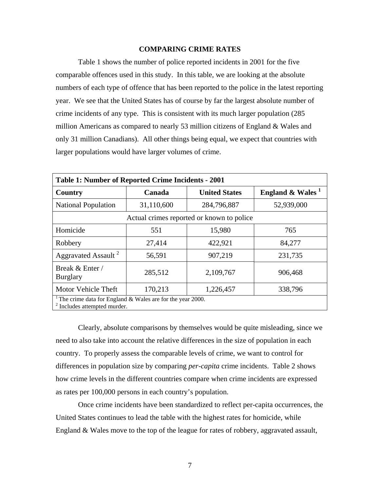# **COMPARING CRIME RATES**

Table 1 shows the number of police reported incidents in 2001 for the five comparable offences used in this study. In this table, we are looking at the absolute numbers of each type of offence that has been reported to the police in the latest reporting year. We see that the United States has of course by far the largest absolute number of crime incidents of any type. This is consistent with its much larger population (285 million Americans as compared to nearly 53 million citizens of England & Wales and only 31 million Canadians). All other things being equal, we expect that countries with larger populations would have larger volumes of crime.

| Table 1: Number of Reported Crime Incidents - 2001                                                                   |            |                      |                              |  |
|----------------------------------------------------------------------------------------------------------------------|------------|----------------------|------------------------------|--|
| Country                                                                                                              | Canada     | <b>United States</b> | England & Wales <sup>1</sup> |  |
| <b>National Population</b>                                                                                           | 31,110,600 | 284,796,887          | 52,939,000                   |  |
| Actual crimes reported or known to police                                                                            |            |                      |                              |  |
| Homicide                                                                                                             | 551        | 15,980               | 765                          |  |
| Robbery                                                                                                              | 27,414     | 422,921              | 84,277                       |  |
| Aggravated Assault <sup>2</sup>                                                                                      | 56,591     | 907,219              | 231,735                      |  |
| Break & Enter /<br><b>Burglary</b>                                                                                   | 285,512    | 2,109,767            | 906,468                      |  |
| Motor Vehicle Theft                                                                                                  | 170,213    | 1,226,457            | 338,796                      |  |
| <sup>1</sup> The crime data for England $\&$ Wales are for the year 2000.<br><sup>2</sup> Includes attempted murder. |            |                      |                              |  |

Clearly, absolute comparisons by themselves would be quite misleading, since we need to also take into account the relative differences in the size of population in each country. To properly assess the comparable levels of crime, we want to control for differences in population size by comparing *per-capita* crime incidents. Table 2 shows how crime levels in the different countries compare when crime incidents are expressed as rates per 100,000 persons in each country's population.

Once crime incidents have been standardized to reflect per-capita occurrences, the United States continues to lead the table with the highest rates for homicide, while England & Wales move to the top of the league for rates of robbery, aggravated assault,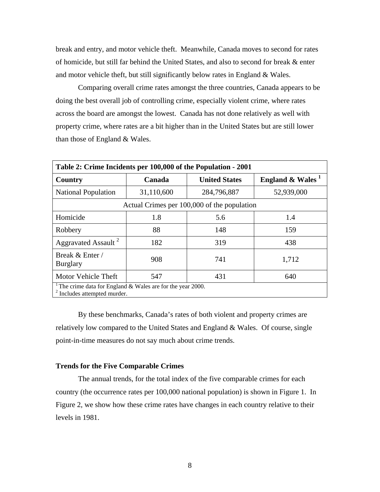break and entry, and motor vehicle theft. Meanwhile, Canada moves to second for rates of homicide, but still far behind the United States, and also to second for break & enter and motor vehicle theft, but still significantly below rates in England & Wales.

Comparing overall crime rates amongst the three countries, Canada appears to be doing the best overall job of controlling crime, especially violent crime, where rates across the board are amongst the lowest. Canada has not done relatively as well with property crime, where rates are a bit higher than in the United States but are still lower than those of England & Wales.

| Table 2: Crime Incidents per 100,000 of the Population - 2001                                                        |            |                      |                    |  |
|----------------------------------------------------------------------------------------------------------------------|------------|----------------------|--------------------|--|
| Country                                                                                                              | Canada     | <b>United States</b> | England $& Wales1$ |  |
| <b>National Population</b>                                                                                           | 31,110,600 | 284,796,887          | 52,939,000         |  |
| Actual Crimes per 100,000 of the population                                                                          |            |                      |                    |  |
| Homicide                                                                                                             | 1.8        | 5.6                  | 1.4                |  |
| Robbery                                                                                                              | 88         | 148                  | 159                |  |
| Aggravated Assault <sup>2</sup>                                                                                      | 182        | 319                  | 438                |  |
| Break & Enter /<br><b>Burglary</b>                                                                                   | 908        | 741                  | 1,712              |  |
| Motor Vehicle Theft                                                                                                  | 547        | 431                  | 640                |  |
| <sup>1</sup> The crime data for England $\&$ Wales are for the year 2000.<br><sup>2</sup> Includes attempted murder. |            |                      |                    |  |

By these benchmarks, Canada's rates of both violent and property crimes are relatively low compared to the United States and England & Wales. Of course, single point-in-time measures do not say much about crime trends.

#### **Trends for the Five Comparable Crimes**

The annual trends, for the total index of the five comparable crimes for each country (the occurrence rates per 100,000 national population) is shown in Figure 1. In Figure 2, we show how these crime rates have changes in each country relative to their levels in 1981.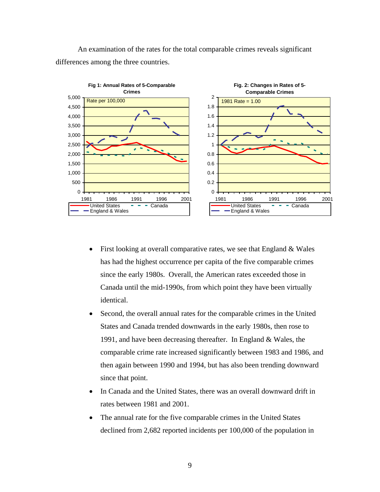An examination of the rates for the total comparable crimes reveals significant differences among the three countries.



- First looking at overall comparative rates, we see that England  $& Wales$ has had the highest occurrence per capita of the five comparable crimes since the early 1980s. Overall, the American rates exceeded those in Canada until the mid-1990s, from which point they have been virtually identical.
- Second, the overall annual rates for the comparable crimes in the United States and Canada trended downwards in the early 1980s, then rose to 1991, and have been decreasing thereafter. In England & Wales, the comparable crime rate increased significantly between 1983 and 1986, and then again between 1990 and 1994, but has also been trending downward since that point.
- In Canada and the United States, there was an overall downward drift in rates between 1981 and 2001.
- The annual rate for the five comparable crimes in the United States declined from 2,682 reported incidents per 100,000 of the population in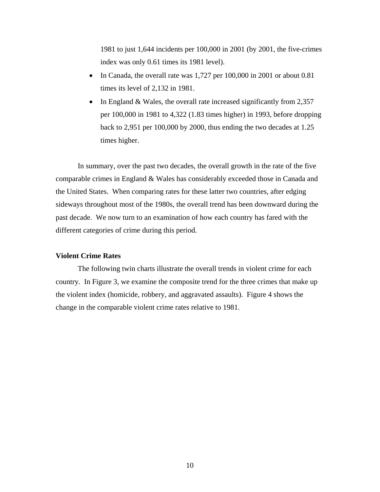1981 to just 1,644 incidents per 100,000 in 2001 (by 2001, the five-crimes index was only 0.61 times its 1981 level).

- In Canada, the overall rate was 1,727 per 100,000 in 2001 or about 0.81 times its level of 2,132 in 1981.
- In England & Wales, the overall rate increased significantly from 2,357 per 100,000 in 1981 to 4,322 (1.83 times higher) in 1993, before dropping back to 2,951 per 100,000 by 2000, thus ending the two decades at 1.25 times higher.

In summary, over the past two decades, the overall growth in the rate of the five comparable crimes in England & Wales has considerably exceeded those in Canada and the United States. When comparing rates for these latter two countries, after edging sideways throughout most of the 1980s, the overall trend has been downward during the past decade. We now turn to an examination of how each country has fared with the different categories of crime during this period.

#### **Violent Crime Rates**

The following twin charts illustrate the overall trends in violent crime for each country. In Figure 3, we examine the composite trend for the three crimes that make up the violent index (homicide, robbery, and aggravated assaults). Figure 4 shows the change in the comparable violent crime rates relative to 1981.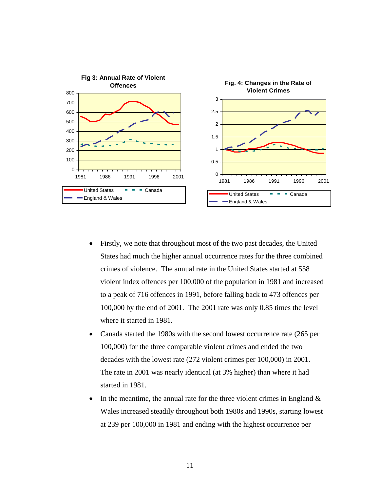

- Firstly, we note that throughout most of the two past decades, the United States had much the higher annual occurrence rates for the three combined crimes of violence. The annual rate in the United States started at 558 violent index offences per 100,000 of the population in 1981 and increased to a peak of 716 offences in 1991, before falling back to 473 offences per 100,000 by the end of 2001. The 2001 rate was only 0.85 times the level where it started in 1981.
- Canada started the 1980s with the second lowest occurrence rate (265 per 100,000) for the three comparable violent crimes and ended the two decades with the lowest rate (272 violent crimes per 100,000) in 2001. The rate in 2001 was nearly identical (at 3% higher) than where it had started in 1981.
- In the meantime, the annual rate for the three violent crimes in England  $\&$ Wales increased steadily throughout both 1980s and 1990s, starting lowest at 239 per 100,000 in 1981 and ending with the highest occurrence per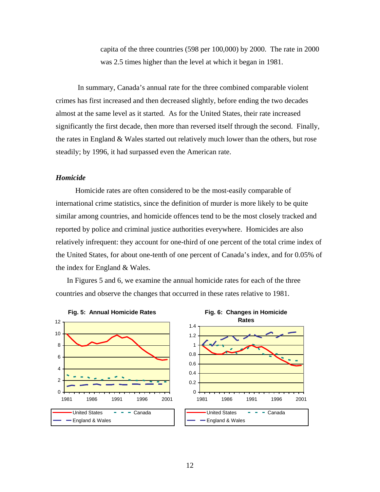capita of the three countries (598 per 100,000) by 2000. The rate in 2000 was 2.5 times higher than the level at which it began in 1981.

In summary, Canada's annual rate for the three combined comparable violent crimes has first increased and then decreased slightly, before ending the two decades almost at the same level as it started. As for the United States, their rate increased significantly the first decade, then more than reversed itself through the second. Finally, the rates in England & Wales started out relatively much lower than the others, but rose steadily; by 1996, it had surpassed even the American rate.

## *Homicide*

Homicide rates are often considered to be the most-easily comparable of international crime statistics, since the definition of murder is more likely to be quite similar among countries, and homicide offences tend to be the most closely tracked and reported by police and criminal justice authorities everywhere. Homicides are also relatively infrequent: they account for one-third of one percent of the total crime index of the United States, for about one-tenth of one percent of Canada's index, and for 0.05% of the index for England & Wales.

In Figures 5 and 6, we examine the annual homicide rates for each of the three countries and observe the changes that occurred in these rates relative to 1981.

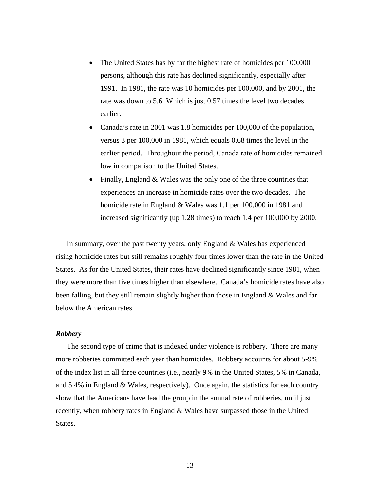- The United States has by far the highest rate of homicides per 100,000 persons, although this rate has declined significantly, especially after 1991. In 1981, the rate was 10 homicides per 100,000, and by 2001, the rate was down to 5.6. Which is just 0.57 times the level two decades earlier.
- Canada's rate in 2001 was 1.8 homicides per 100,000 of the population, versus 3 per 100,000 in 1981, which equals 0.68 times the level in the earlier period. Throughout the period, Canada rate of homicides remained low in comparison to the United States.
- Finally, England & Wales was the only one of the three countries that experiences an increase in homicide rates over the two decades. The homicide rate in England & Wales was 1.1 per 100,000 in 1981 and increased significantly (up 1.28 times) to reach 1.4 per 100,000 by 2000.

In summary, over the past twenty years, only England & Wales has experienced rising homicide rates but still remains roughly four times lower than the rate in the United States. As for the United States, their rates have declined significantly since 1981, when they were more than five times higher than elsewhere. Canada's homicide rates have also been falling, but they still remain slightly higher than those in England & Wales and far below the American rates.

#### *Robbery*

The second type of crime that is indexed under violence is robbery. There are many more robberies committed each year than homicides. Robbery accounts for about 5-9% of the index list in all three countries (i.e., nearly 9% in the United States, 5% in Canada, and 5.4% in England & Wales, respectively). Once again, the statistics for each country show that the Americans have lead the group in the annual rate of robberies, until just recently, when robbery rates in England & Wales have surpassed those in the United States.

13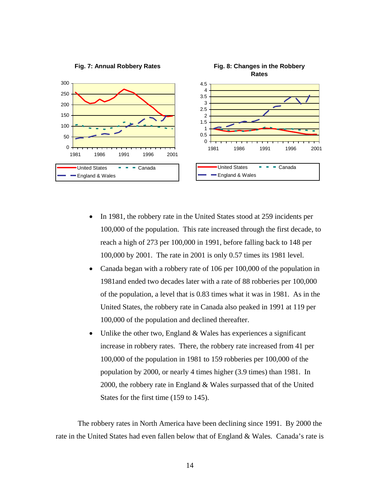

- In 1981, the robbery rate in the United States stood at 259 incidents per 100,000 of the population. This rate increased through the first decade, to reach a high of 273 per 100,000 in 1991, before falling back to 148 per 100,000 by 2001. The rate in 2001 is only 0.57 times its 1981 level.
- Canada began with a robbery rate of 106 per 100,000 of the population in 1981and ended two decades later with a rate of 88 robberies per 100,000 of the population, a level that is 0.83 times what it was in 1981. As in the United States, the robbery rate in Canada also peaked in 1991 at 119 per 100,000 of the population and declined thereafter.
- Unlike the other two, England  $&$  Wales has experiences a significant increase in robbery rates. There, the robbery rate increased from 41 per 100,000 of the population in 1981 to 159 robberies per 100,000 of the population by 2000, or nearly 4 times higher (3.9 times) than 1981. In 2000, the robbery rate in England & Wales surpassed that of the United States for the first time (159 to 145).

The robbery rates in North America have been declining since 1991. By 2000 the rate in the United States had even fallen below that of England & Wales. Canada's rate is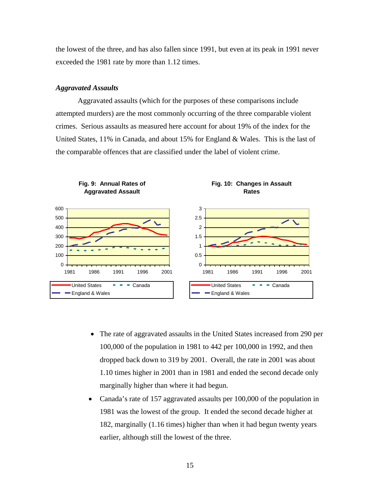the lowest of the three, and has also fallen since 1991, but even at its peak in 1991 never exceeded the 1981 rate by more than 1.12 times.

#### *Aggravated Assaults*

Aggravated assaults (which for the purposes of these comparisons include attempted murders) are the most commonly occurring of the three comparable violent crimes. Serious assaults as measured here account for about 19% of the index for the United States, 11% in Canada, and about 15% for England & Wales. This is the last of the comparable offences that are classified under the label of violent crime.



- The rate of aggravated assaults in the United States increased from 290 per 100,000 of the population in 1981 to 442 per 100,000 in 1992, and then dropped back down to 319 by 2001. Overall, the rate in 2001 was about 1.10 times higher in 2001 than in 1981 and ended the second decade only marginally higher than where it had begun.
- Canada's rate of 157 aggravated assaults per 100,000 of the population in 1981 was the lowest of the group. It ended the second decade higher at 182, marginally (1.16 times) higher than when it had begun twenty years earlier, although still the lowest of the three.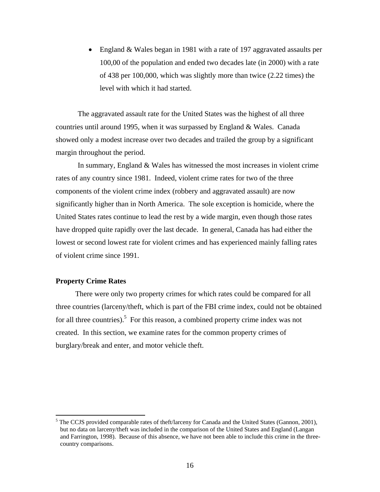• England & Wales began in 1981 with a rate of 197 aggravated assaults per 100,00 of the population and ended two decades late (in 2000) with a rate of 438 per 100,000, which was slightly more than twice (2.22 times) the level with which it had started.

The aggravated assault rate for the United States was the highest of all three countries until around 1995, when it was surpassed by England & Wales. Canada showed only a modest increase over two decades and trailed the group by a significant margin throughout the period.

In summary, England & Wales has witnessed the most increases in violent crime rates of any country since 1981. Indeed, violent crime rates for two of the three components of the violent crime index (robbery and aggravated assault) are now significantly higher than in North America. The sole exception is homicide, where the United States rates continue to lead the rest by a wide margin, even though those rates have dropped quite rapidly over the last decade. In general, Canada has had either the lowest or second lowest rate for violent crimes and has experienced mainly falling rates of violent crime since 1991.

## **Property Crime Rates**

There were only two property crimes for which rates could be compared for all three countries (larceny/theft, which is part of the FBI crime index, could not be obtained for all three countries).<sup>[5](#page-22-0)</sup> For this reason, a combined property crime index was not created. In this section, we examine rates for the common property crimes of burglary/break and enter, and motor vehicle theft.

<span id="page-22-0"></span> $\frac{1}{5}$  $<sup>5</sup>$  The CCJS provided comparable rates of theft/larceny for Canada and the United States (Gannon, 2001),</sup> but no data on larceny/theft was included in the comparison of the United States and England (Langan and Farrington, 1998). Because of this absence, we have not been able to include this crime in the threecountry comparisons.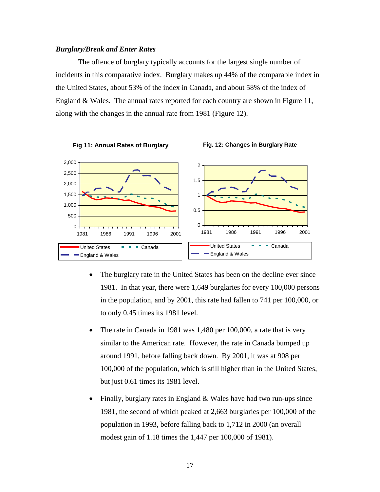#### *Burglary/Break and Enter Rates*

The offence of burglary typically accounts for the largest single number of incidents in this comparative index. Burglary makes up 44% of the comparable index in the United States, about 53% of the index in Canada, and about 58% of the index of England & Wales. The annual rates reported for each country are shown in Figure 11, along with the changes in the annual rate from 1981 (Figure 12).



- The burglary rate in the United States has been on the decline ever since 1981. In that year, there were 1,649 burglaries for every 100,000 persons in the population, and by 2001, this rate had fallen to 741 per 100,000, or to only 0.45 times its 1981 level.
- The rate in Canada in 1981 was 1,480 per 100,000, a rate that is very similar to the American rate. However, the rate in Canada bumped up around 1991, before falling back down. By 2001, it was at 908 per 100,000 of the population, which is still higher than in the United States, but just 0.61 times its 1981 level.
- Finally, burglary rates in England & Wales have had two run-ups since 1981, the second of which peaked at 2,663 burglaries per 100,000 of the population in 1993, before falling back to 1,712 in 2000 (an overall modest gain of 1.18 times the 1,447 per 100,000 of 1981).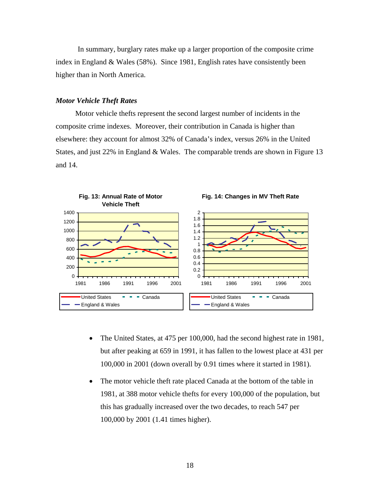In summary, burglary rates make up a larger proportion of the composite crime index in England & Wales (58%). Since 1981, English rates have consistently been higher than in North America.

#### *Motor Vehicle Theft Rates*

Motor vehicle thefts represent the second largest number of incidents in the composite crime indexes. Moreover, their contribution in Canada is higher than elsewhere: they account for almost 32% of Canada's index, versus 26% in the United States, and just 22% in England & Wales. The comparable trends are shown in Figure 13 and 14.



- The United States, at 475 per 100,000, had the second highest rate in 1981, but after peaking at 659 in 1991, it has fallen to the lowest place at 431 per 100,000 in 2001 (down overall by 0.91 times where it started in 1981).
- The motor vehicle theft rate placed Canada at the bottom of the table in 1981, at 388 motor vehicle thefts for every 100,000 of the population, but this has gradually increased over the two decades, to reach 547 per 100,000 by 2001 (1.41 times higher).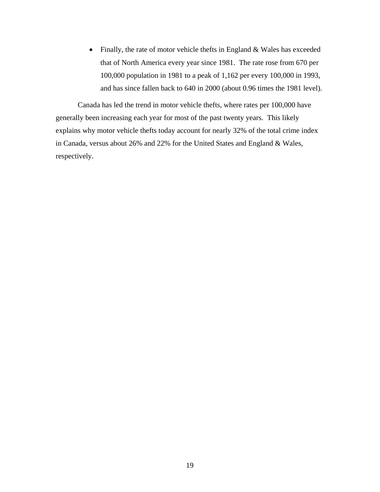• Finally, the rate of motor vehicle thefts in England & Wales has exceeded that of North America every year since 1981. The rate rose from 670 per 100,000 population in 1981 to a peak of 1,162 per every 100,000 in 1993, and has since fallen back to 640 in 2000 (about 0.96 times the 1981 level).

Canada has led the trend in motor vehicle thefts, where rates per 100,000 have generally been increasing each year for most of the past twenty years. This likely explains why motor vehicle thefts today account for nearly 32% of the total crime index in Canada, versus about 26% and 22% for the United States and England & Wales, respectively.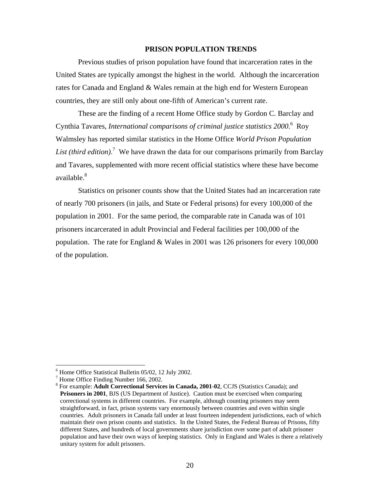## **PRISON POPULATION TRENDS**

Previous studies of prison population have found that incarceration rates in the United States are typically amongst the highest in the world. Although the incarceration rates for Canada and England & Wales remain at the high end for Western European countries, they are still only about one-fifth of American's current rate.

These are the finding of a recent Home Office study by Gordon C. Barclay and CynthiaTavares, *International comparisons of criminal justice statistics* 2000.<sup>6</sup> Roy Walmsley has reported similar statistics in the Home Office *World Prison Population*  List (third edition).<sup>[7](#page-26-1)</sup> We have drawn the data for our comparisons primarily from Barclay and Tavares, supplemented with more recent official statistics where these have become available.<sup>[8](#page-26-2)</sup>

Statistics on prisoner counts show that the United States had an incarceration rate of nearly 700 prisoners (in jails, and State or Federal prisons) for every 100,000 of the population in 2001. For the same period, the comparable rate in Canada was of 101 prisoners incarcerated in adult Provincial and Federal facilities per 100,000 of the population. The rate for England & Wales in 2001 was 126 prisoners for every 100,000 of the population.

<span id="page-26-0"></span> $\frac{1}{6}$  $6$  Home Office Statistical Bulletin 05/02, 12 July 2002.

<span id="page-26-1"></span> $7$  Home Office Finding Number 166, 2002.

<span id="page-26-2"></span>For example: **Adult Correctional Services in Canada, 2001-02**, CCJS (Statistics Canada); and **Prisoners in 2001, BJS (US Department of Justice). Caution must be exercised when comparing** correctional systems in different countries. For example, although counting prisoners may seem straightforward, in fact, prison systems vary enormously between countries and even within single countries. Adult prisoners in Canada fall under at least fourteen independent jurisdictions, each of which maintain their own prison counts and statistics. In the United States, the Federal Bureau of Prisons, fifty different States, and hundreds of local governments share jurisdiction over some part of adult prisoner population and have their own ways of keeping statistics. Only in England and Wales is there a relatively unitary system for adult prisoners.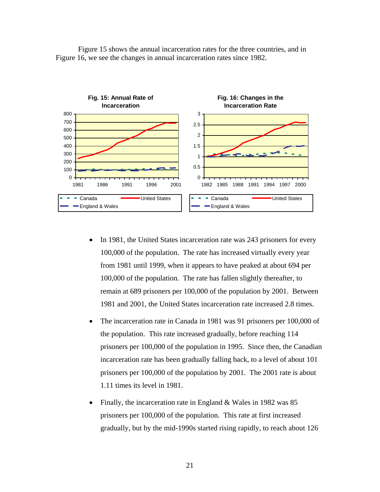

Figure 15 shows the annual incarceration rates for the three countries, and in Figure 16, we see the changes in annual incarceration rates since 1982.

- In 1981, the United States incarceration rate was 243 prisoners for every 100,000 of the population. The rate has increased virtually every year from 1981 until 1999, when it appears to have peaked at about 694 per 100,000 of the population. The rate has fallen slightly thereafter, to remain at 689 prisoners per 100,000 of the population by 2001. Between 1981 and 2001, the United States incarceration rate increased 2.8 times.
- The incarceration rate in Canada in 1981 was 91 prisoners per 100,000 of the population. This rate increased gradually, before reaching 114 prisoners per 100,000 of the population in 1995. Since then, the Canadian incarceration rate has been gradually falling back, to a level of about 101 prisoners per 100,000 of the population by 2001. The 2001 rate is about 1.11 times its level in 1981.
- Finally, the incarceration rate in England & Wales in 1982 was 85 prisoners per 100,000 of the population. This rate at first increased gradually, but by the mid-1990s started rising rapidly, to reach about 126

21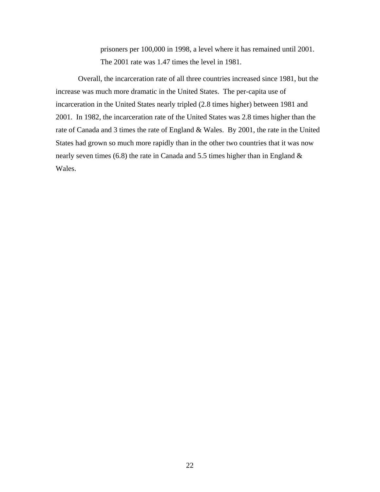prisoners per 100,000 in 1998, a level where it has remained until 2001. The 2001 rate was 1.47 times the level in 1981.

Overall, the incarceration rate of all three countries increased since 1981, but the increase was much more dramatic in the United States. The per-capita use of incarceration in the United States nearly tripled (2.8 times higher) between 1981 and 2001. In 1982, the incarceration rate of the United States was 2.8 times higher than the rate of Canada and 3 times the rate of England & Wales. By 2001, the rate in the United States had grown so much more rapidly than in the other two countries that it was now nearly seven times (6.8) the rate in Canada and 5.5 times higher than in England & Wales.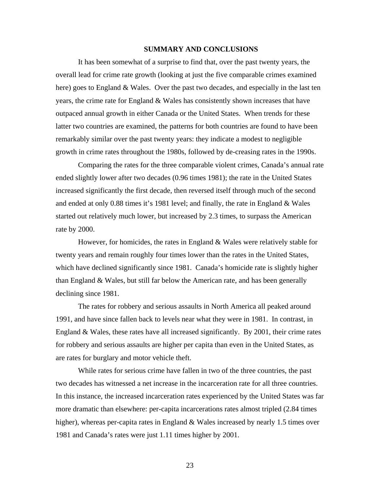#### **SUMMARY AND CONCLUSIONS**

It has been somewhat of a surprise to find that, over the past twenty years, the overall lead for crime rate growth (looking at just the five comparable crimes examined here) goes to England & Wales. Over the past two decades, and especially in the last ten years, the crime rate for England & Wales has consistently shown increases that have outpaced annual growth in either Canada or the United States. When trends for these latter two countries are examined, the patterns for both countries are found to have been remarkably similar over the past twenty years: they indicate a modest to negligible growth in crime rates throughout the 1980s, followed by de-creasing rates in the 1990s.

Comparing the rates for the three comparable violent crimes, Canada's annual rate ended slightly lower after two decades (0.96 times 1981); the rate in the United States increased significantly the first decade, then reversed itself through much of the second and ended at only 0.88 times it's 1981 level; and finally, the rate in England & Wales started out relatively much lower, but increased by 2.3 times, to surpass the American rate by 2000.

However, for homicides, the rates in England & Wales were relatively stable for twenty years and remain roughly four times lower than the rates in the United States, which have declined significantly since 1981. Canada's homicide rate is slightly higher than England & Wales, but still far below the American rate, and has been generally declining since 1981.

The rates for robbery and serious assaults in North America all peaked around 1991, and have since fallen back to levels near what they were in 1981. In contrast, in England  $\&$  Wales, these rates have all increased significantly. By 2001, their crime rates for robbery and serious assaults are higher per capita than even in the United States, as are rates for burglary and motor vehicle theft.

While rates for serious crime have fallen in two of the three countries, the past two decades has witnessed a net increase in the incarceration rate for all three countries. In this instance, the increased incarceration rates experienced by the United States was far more dramatic than elsewhere: per-capita incarcerations rates almost tripled (2.84 times higher), whereas per-capita rates in England & Wales increased by nearly 1.5 times over 1981 and Canada's rates were just 1.11 times higher by 2001.

23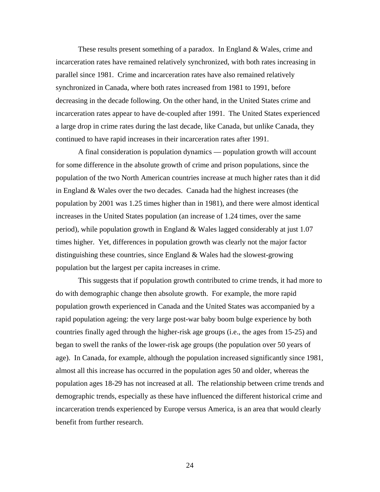These results present something of a paradox. In England  $\&$  Wales, crime and incarceration rates have remained relatively synchronized, with both rates increasing in parallel since 1981. Crime and incarceration rates have also remained relatively synchronized in Canada, where both rates increased from 1981 to 1991, before decreasing in the decade following. On the other hand, in the United States crime and incarceration rates appear to have de-coupled after 1991. The United States experienced a large drop in crime rates during the last decade, like Canada, but unlike Canada, they continued to have rapid increases in their incarceration rates after 1991.

A final consideration is population dynamics — population growth will account for some difference in the absolute growth of crime and prison populations, since the population of the two North American countries increase at much higher rates than it did in England & Wales over the two decades. Canada had the highest increases (the population by 2001 was 1.25 times higher than in 1981), and there were almost identical increases in the United States population (an increase of 1.24 times, over the same period), while population growth in England & Wales lagged considerably at just 1.07 times higher. Yet, differences in population growth was clearly not the major factor distinguishing these countries, since England & Wales had the slowest-growing population but the largest per capita increases in crime.

This suggests that if population growth contributed to crime trends, it had more to do with demographic change then absolute growth. For example, the more rapid population growth experienced in Canada and the United States was accompanied by a rapid population ageing: the very large post-war baby boom bulge experience by both countries finally aged through the higher-risk age groups (i.e., the ages from 15-25) and began to swell the ranks of the lower-risk age groups (the population over 50 years of age). In Canada, for example, although the population increased significantly since 1981, almost all this increase has occurred in the population ages 50 and older, whereas the population ages 18-29 has not increased at all. The relationship between crime trends and demographic trends, especially as these have influenced the different historical crime and incarceration trends experienced by Europe versus America, is an area that would clearly benefit from further research.

24